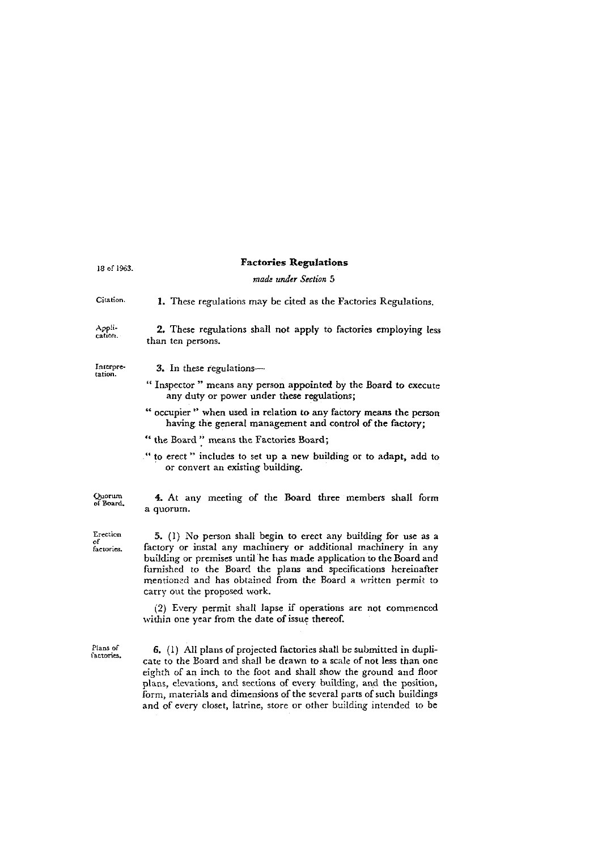| 18 of 1963.                  | <b>Factories Regulations</b>                                                                                                                                                                                                                                                                                                                                                                                                               |
|------------------------------|--------------------------------------------------------------------------------------------------------------------------------------------------------------------------------------------------------------------------------------------------------------------------------------------------------------------------------------------------------------------------------------------------------------------------------------------|
|                              | made under Section 5                                                                                                                                                                                                                                                                                                                                                                                                                       |
| Citation.                    | 1. These regulations may be cited as the Factories Regulations.                                                                                                                                                                                                                                                                                                                                                                            |
| Appli-<br>cation. .          | 2. These regulations shall not apply to factories employing less<br>than ten persons.                                                                                                                                                                                                                                                                                                                                                      |
| Interpre-<br>tation.         | 3. In these regulations-                                                                                                                                                                                                                                                                                                                                                                                                                   |
|                              | "Inspector" means any person appointed by the Board to execute<br>any duty or power under these regulations;                                                                                                                                                                                                                                                                                                                               |
|                              | " occupier " when used in relation to any factory means the person<br>having the general management and control of the factory;                                                                                                                                                                                                                                                                                                            |
|                              | " the Board" means the Factories Board;                                                                                                                                                                                                                                                                                                                                                                                                    |
|                              | " to erect" includes to set up a new building or to adapt, add to<br>or convert an existing building.                                                                                                                                                                                                                                                                                                                                      |
| Quorum<br>of Board.          | 4. At any meeting of the Board three members shall form<br>a quorum.                                                                                                                                                                                                                                                                                                                                                                       |
| Erection<br>o۴<br>factories. | 5. (1) No person shall begin to erect any building for use as a<br>factory or instal any machinery or additional machinery in any<br>building or premises until he has made application to the Board and<br>furnished to the Board the plans and specifications hereinafter<br>mentioned and has obtained from the Board a written permit to<br>carry out the proposed work.                                                               |
|                              | (2) Every permit shall lapse if operations are not commenced<br>within one year from the date of issue thereof.                                                                                                                                                                                                                                                                                                                            |
| Plans of<br>iactories.       | 6. (1) All plans of projected factories shall be submitted in dupli-<br>cate to the Board and shall be drawn to a scale of not less than one<br>eighth of an inch to the foot and shall show the ground and floor<br>plans, elevations, and sections of every building, and the position,<br>form, materials and dimensions of the several parts of such buildings<br>and of every closet, latrine, store or other building intended to be |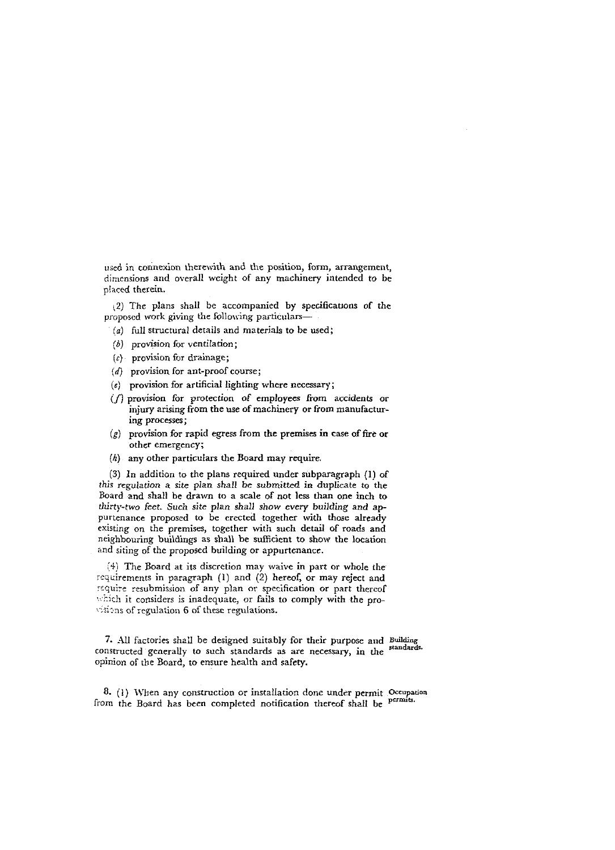used in connexion therewith and the position, form, arrangement, dimensions and overall weight of any machinery intended to be p!aced therein.

**(2)** The plans shall be accompanied by specifications of the proposed work giving the following particulars-

- (a) full structural details and materials to be used;
- *(6)* provision for ventilation;
- $(c)$  provision for drainage;
- $(d)$  provision for ant-proof course;
- $(e)$  provision for artificial lighting where necessary;
- $(f)$  provision for protection of employees from accidents or injury arising from the use of machinery or from mannfacturing processes;
- $(g)$  provision for rapid egress from the premises in case of fire or other emergency;
- **(h)** any other particulars the Board may require

**(3)** In addition to the plans required under subparagraph (1) of this regulation a site plan shall be submitted in duplicate to the Board and shall be drawn to a scale of not less than one inch to thirty-two feet. Such site plan shall show every building and appurtenance proposed to be erected together with those already esisting on the premises, together with such detail of roads and neighbouring buildings as shall be sufficient to show the location and siting of the proposed building or appurtenance.

*I+)* The Board at its discretion may waive in part or whole the requirements in paragraph (1) and (2) hereof, or may reject and require resubmission of any plan or specification or part thereof which it considers is inadequate, or fails to comply with the pro- $\sqrt{31}$ ons of regulation 6 of these regulations.

**7.** All factories shall be designed suitably for their purpose and Building constructed generally to such standards as are necessary, in the *standards* opinion of the Board, to ensure health and safety.

8. (1) When any construction or installation done under permit Occupation from the Board has been completed notification thereof shall be permits.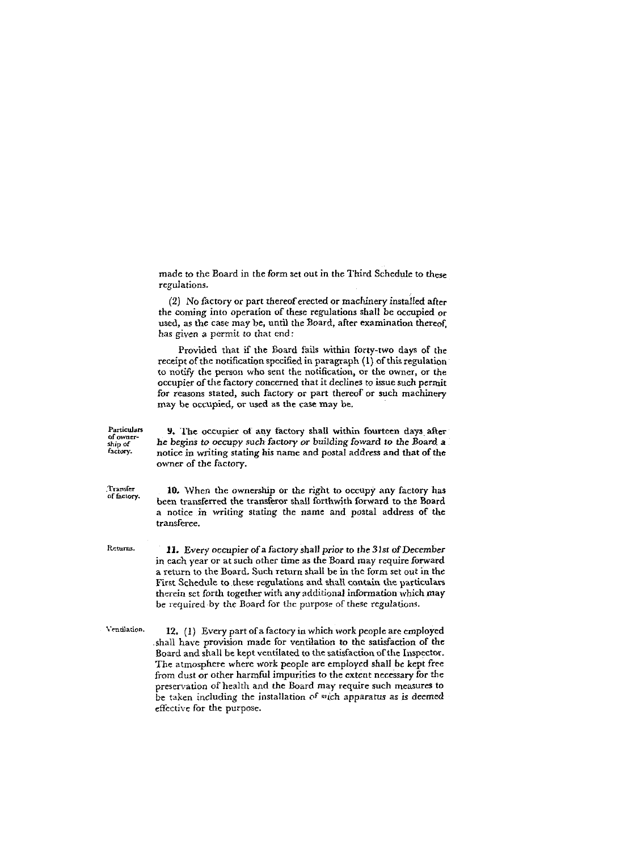made to the Board in the form set out in the Third Schedule to these regulations.

 $(2)$  No factory or part thereof erected or machinery installed after the coming into operation of these regulations shall be occupied or used, as the case may be, until the Board, after examination thereof, has given a permit to that end:

Provided that if the Board fails within forty-two days of the receipt of the notification specified in paragraph (1) of this regulation to notify the person who sent the notification, or the owner, or the occupier of the factory concerned that it declines to issue such permit for reasons stated, such factory or part thereof or such machinery may be occupied, or used as the case may be.

**Particulars 9.** The occupier of any factory shall within fourteen days after ship of the begins to occupy such factory or building foward to the Board a factory. In price in writing stating his name and postal address a *"c'ov.* notice in writing stating his name and postal address and that of *the*  owner of the factory. Transfer<br>of factory. **10.** When the ownership or the right to occupy any factory has been transferred the transferor shall forthwith forward to the Board a notice in writing stating the name and postal address of the transferee. Returns. **11.** Every occupier of a factory shall prior to the 31st of December in each year or at such other time as the Board may require forward a return to the Board. Such return shall be in the form set out in the First Schedule to these regulations and shall contain the particulars therein set forth together with any additional information which may be required by the Board for the purpose of these regulations.

Ventilation. **12.** (1) Every part of a factory in which work people are employed shall have provision made for ventilation to the satisfaction of the Board and shall he kept ventilated to the satisfaction of the Inspector. The atmosphere where work people are employed shall be kept free from dust or other harmful impurities to the extent necessary for the preservation of health and the Board may require such measures to be taken including 'he installation **of** ~lcch apparatus as is deemed effective for the purpose.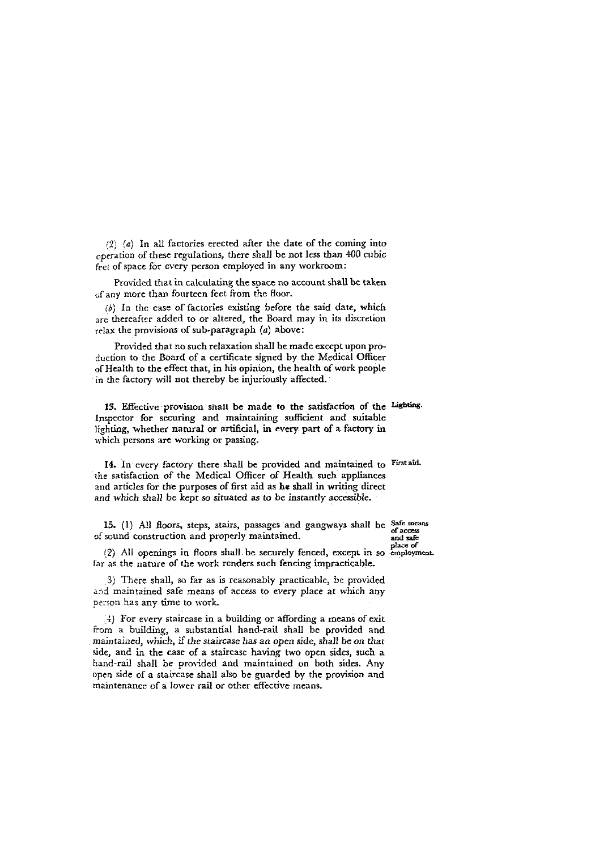$(2)$   $(a)$  In all factories erected after the date of the coming into operation of these regulations, there shall be not less than 400 cubic feet of space for every person employed in any workroom:

Provided that in calculating the space no account shall be taken of any more than fourteen feet from the floor.

 $\langle b \rangle$  In the case of factories existing before the said date, which are thereafter added to or altered, the Board may in its discretion  $relax$  the provisions of sub-paragraph  $(a)$  above:

Provided that no such relaxation shall be made except upon production to the Board of a certificate signed by the Medical Officer of Health to the effect that, in his opinion, the health of work people in the factory will not thereby be injuriously affected.

13. Effective provision shall be made to the satisfaction of the Lighting. Inspector for securing and maintaining sufficient and suitable lighting, whether natural or artificial, in every part of a factory in which persons are working or passing.

14. In every factory there shall be provided and maintained to **Firstaid.**  the satisfaction of the Medical Officer of Health such appliances and articles for the purposes of first aid as he shall in writing direct and which shall be kept so situated as to be instantly accessible.

**15.** (1) All floors, steps, stairs, passages and gangways shall be Safe means of sound construction and properly maintained. and safe and safe place of

**of (2)** All openings in fioors shall be securely fenced, except in so **employment.**  far as the nature of the work renders such fencing impracticable.

3) There shall, so far as is reasonably practicable, be provided and maintained safe means of access to every place at which any person has any time to work.

4) For every staircase in a building or affording a means of exit from a building, a substantial hand-rail shall be provided and maintained, which, if the staircase has an open side, shall be on that side, and in the case of a staircase having two open sides, such a hand-rail shall be proxided and maintained on both sides. Any open side of a staircase shall also be guarded by the provision and maintenance of a lower rail or other effective means.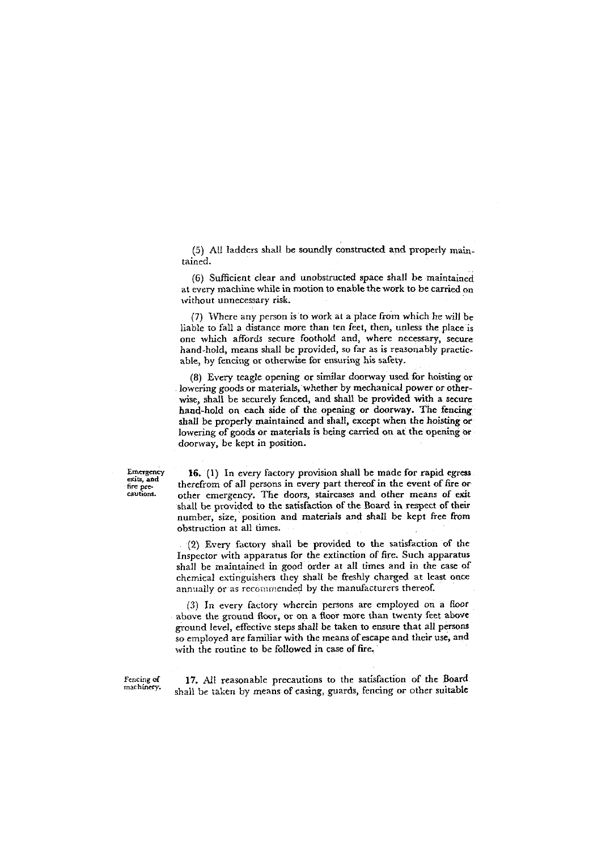$(5)$  All ladders shall be soundly constructed and properly maintained.

(6) Sufficient clear and unobstructed space shall be maintained at every machine while in motion to enable the work to be carried on without unnecessary risk.

(7) lVhere any person is to work at a place from which he will be liable to fall a distance more than ten feet, then, unless the place is one which affords secure foothold and, where necessary, secure hand-hold, means shall be provided, so far as is reasonably practicable, by fencing or otherwise for ensuring his safety.

(8) Every teagle opening or similar doorway used for hoisting or lowering goods or materials, whether by mechanical power or otherwise, shall be securely fenced, and shall be provided with a secure hand-hold on each side of the opening or doorway. The fencing shall be properly maintained and shall, except when the hoisting or lowering of goods or materials is being carried on at the opening or doorway, be kept in position.

Emergency **16.** (1) In every factory provision shall be made for rapid egress exits, and therefrom of all persons in every part thereof in the event of fire or cautions. other emergency. The doors, staircases and other means of exit shall be provided to the satisfaction of the Board in respect of their number, size, position and materials and shall be kept free from obstruction at all times.

> (2) Every factory shall be provided to the satisfaction of the Inspector with apparatus for the extinction of fire. Such apparatus shall be maintained in good order at all times and in the case of chemical extinguishers they shall be freshly charged at least once annually or as recommended by the manufacturers thereof.

> (5) In every factory wherein persons are employed on a floor above the ground floor, or on a floor more than twenty feet above ground level, effective steps shall be taken to ensure that all persons so employed are familiar with the means of escape and their use, and with the routine to be followed in case of fire.

Fencing of **17.** All reasonable precautions to the satisfaction of the Board machinery. **machinery.** shall **bc** taken by means of casing, guards, fencing or other suitable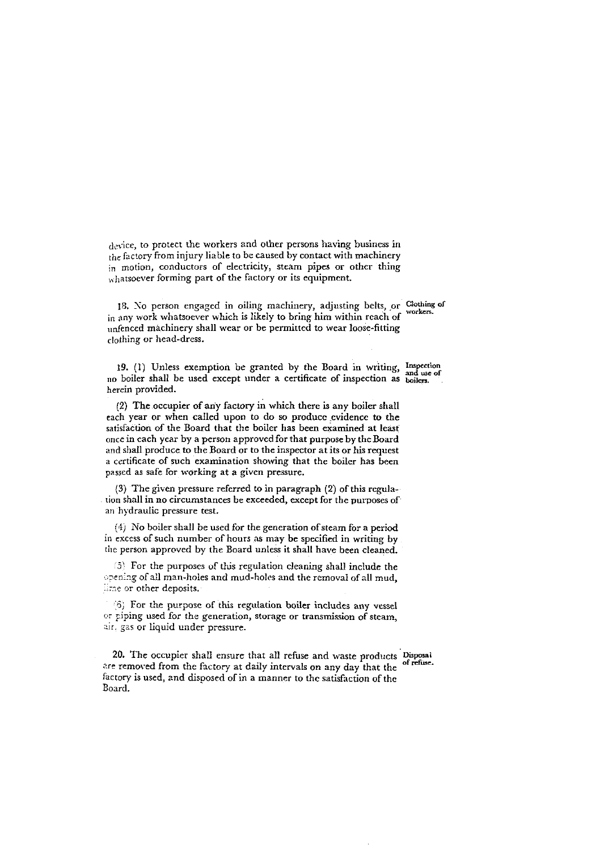device, to protect the workers and other persons having business in  $h$ e factory from injury liable to be caused by contact with machinery in motion, conductors of electricity, steam pipes or other thing whatsoever forming part of the factory or its equipment.

**18.** So person engaged in oihng machinery, adjusting belts, or **C10thing or workm.**  in any work whatsoever which is likely to bring him within reach of unfenced machinery shall wear or be permitted to wear loose-fitting clothing or head-dress.

19. (1) Unless exemption be granted by the Board in writing, Inspection no boiler shall be used except under a certificate of inspection as **boilers**. herein provided.

(2) The occupier of any factory in which there is any boiler shall cach year or when called upon to do so produce evidence to the satisfaction of the Board that the boiler has been examined at least once in cach year by a person approved for that purpose by theBoard and shall produce to the Board or to the inspector at its or his request a certificate of such examination showing that the boiler has been **passed** as safe for working at a given pressure.

(3) The given pressure referred to in paragraph (2) of this regulation shall in no circumstances be exceeded, except for the purposes of an hydraulic pressure test.

**(S)** Xo boiler shall be used for the generation of steam for a period in excess of such number of hours as may be specified in writing by the person approved by the Board unless it shall have been cleaned.

(5) For the purposes of this regulation cleaning shall include the opening of all man-holes and mud-holes and the removal of all mud, **31.** other deposits.

(5) For the purpose of this regulation boiler includes any vessel or piping used for the generation, storage or transmission of steam, air. gas or liquid under pressure.

20. The occupier shall ensure that all refuse and waste products Disposal **expressed** from the factory at daily intervals or ages describes the of refuse. are removed from the factory at daily intervals on any day that the factory is used, and disposed of in a manner to the satisfaction of the Eoard.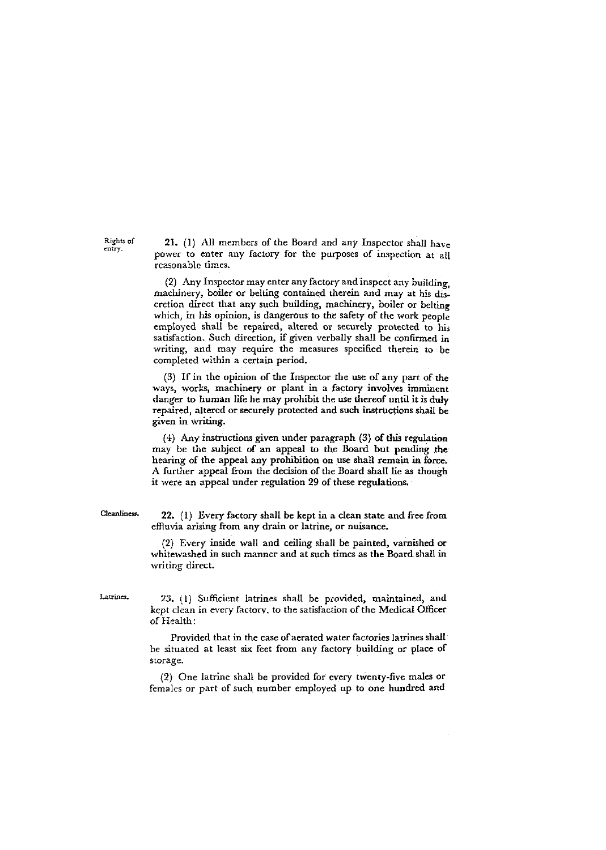21. (1) All members of the Board and any Inspector shall have power to enter any factory for the purposes of inspection at all reasonable times.

(2) Any Inspector may enter any factory and inspect any building, machinery, boiler or belting contained therein and may at his discretion direct that any such building, machinery, boiler or belting which, in his opinion, is dangerous to the safety of the work people employed shall be repaired, altered or securely protected to hi, satisfaction. Such direction, if given verbally shall be confinned in writing, and may require the measures specified therein to be completed within a certain period.

(3) If in the opinion of the Inspector the use of any part of the ways, works, machinery or plant in a factory involves imminent danger to human life he may prohibit the use thereof until it is duly repaired, altered or securely protected and such instructions shall be given in writing.

 $(4)$  . Any instructions given under paragraph  $(3)$  of this regulation may be the subject of an appeal to the Board but pending the hearing of the appeal any prohibition on usc shall remain in force. A further appeal from the decision of the Board shall lie as though it were an appeal under regulation 29 of these regulations.

Cleanliness. **22.** (1) Every factory shall be kept in a clean state and free from effluvia arising from any drain or latrine, or nuisance.

> (2) Every inside wall and ceiling shall be painted, varnished or whitewashed in such manner and at such times as the Board shall in writing direct.

Latrines. 23. (1) Sufficient latrines shall be provided, maintained, and kept clean in every factorv. to the satisfaction of the Medical Officer of Health:

> Provided that in the case of aerated water factories latrines shall be situated at least six feet from any factory building or place of storage.

> (2) One latrine shall he provided for every tvventy-five males or females or part of such number employed up to one hundred and

Rights **of mtry**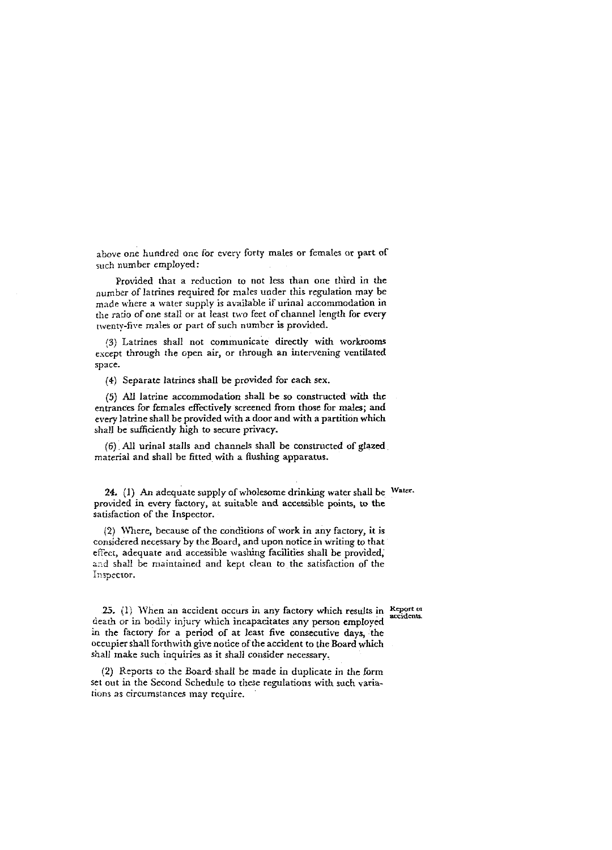above one hundred one for every forty males or females or part of such number employed:

Provided that a reduction to not less than one third in the number of latrines required for males under this regulation may be made where a water supply is available if urinal accommodation in tlie ratio of one stall or at least two feet of channel length for every twenty-five males or part of such number is provided.

(3) Latrines shall not communicate directly with workrooms except through the open air, or through an intervening ventilated space.

(4) Separate latrines shall be provided for each sex.

(5) *All* latrine accommodation shall be so constructed **with the**  entrances for females effectively screened from those for males; and every latrine shall be provided with a door and with a partition which shall be sufficiently high to secure privacy.

(6) All urinal stalls and channels shall be constructed of glazed material and shall he fitted with a flushing apparatus.

24. (1) An adequate supply of wholesome drinking water shall be Water. provided in every factory, at suitable and accessible points, to the satisfaction of the Inspector.

(2) \mere, because of the conditions of work in any factory, it is considered necessary by the Board, and upon notice in writing to that effect, adequate and accessible washing facilities shall be provided, and shall be maintained and kept clean to the satisfaction of the inspector.

25. (1) When an accident occurs in any factory which results in Report of death or in bodiiy injury which incapacitates any person employed in the factory for a period of at least five consecutive days, the occupier shall forthwith give notice of the accident to the Board which shall make such inquiries as it shall consider necessary.

(2) Reports to the Board shall be made in duplicate in the form set out in the Second Schedule to these regulations with such variations as circumstances may require.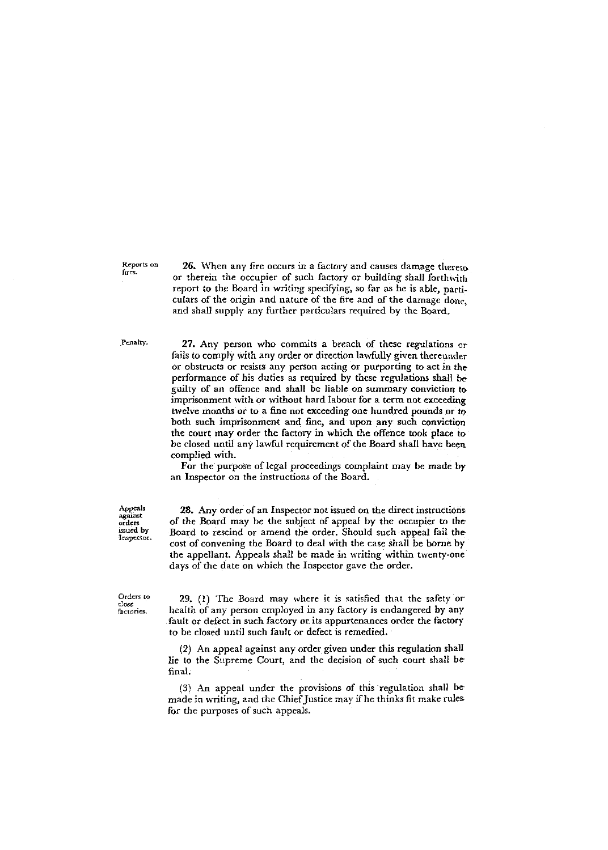Reports on fires.

26. When any fire occurs in a factory and causes damage thereto or therein the occupier of such factory or huilding shall forthwith report to the Board in writing specifying, so far as he is able, particulars of the origin and nature of the fire and of the damage donc, and shall supply any further patticulars required by the Board.

Penalty.

27. Any person who commits a breach of these regulations or fails to comply with any order or direction lawfully given thereunder or obstructs or resists any person acting or purporting to act in the performance of his duties as required by these regulations shall be guilty of an offence and shall be liable on summary conviction to imprisonment with or without hard labour for a term not exceeding twelve months or to a fine not exceeding one hundred pounds or to both such imprisonment and fine, and upon any such conviction the court may order the factory in which the offence took place to be closed until any lawful requirement of the Board shall have been complied with.

For the purpose of legal proceedings complaint may be made by an Inspector on the instructions of the Board.

Appeals against<br>orders<br>issued by Inspector.

28. Any order of an Inspector not issued on the direct instructions of the Board may he the subject of appeal by the occupier to the Board to rescind or amend the order. Should such appeal fail the cost of convening the Board to deal with the case shall be borne by the appellant. Appeals shall be made in writing within twenty-one days of the date on which the Inspector gave the order.

Orders to  $close$ factories.

29. **(1)** The Board may where it 1s satisfied that the safety or health of any person employed in any factory is endangered by any fault or defect in such factory or its appurtenances order the factory to be closed until such fault or defect is remedied.

(2) An appeal against any order given under this regulation shall lie to the Supreme Court, and the decision of such court shall bc final.

**(3' An** appeal under the provisions of this regulation shall be made in writing, and the Chief Justice **may** if he thinks fit make rules for the purposes of such appeals.